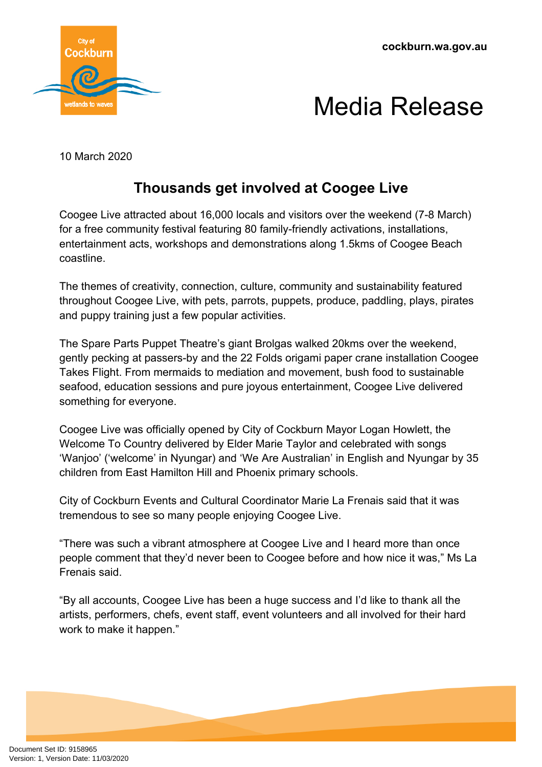

## Media Release

10 March 2020

## **Thousands get involved at Coogee Live**

Coogee Live attracted about 16,000 locals and visitors over the weekend (7-8 March) for a free community festival featuring 80 family-friendly activations, installations, entertainment acts, workshops and demonstrations along 1.5kms of Coogee Beach coastline.

The themes of creativity, connection, culture, community and sustainability featured throughout Coogee Live, with pets, parrots, puppets, produce, paddling, plays, pirates and puppy training just a few popular activities.

The Spare Parts Puppet Theatre's giant Brolgas walked 20kms over the weekend, gently pecking at passers-by and the 22 Folds origami paper crane installation Coogee Takes Flight. From mermaids to mediation and movement, bush food to sustainable seafood, education sessions and pure joyous entertainment, Coogee Live delivered something for everyone.

Coogee Live was officially opened by City of Cockburn Mayor Logan Howlett, the Welcome To Country delivered by Elder Marie Taylor and celebrated with songs 'Wanjoo' ('welcome' in Nyungar) and 'We Are Australian' in English and Nyungar by 35 children from East Hamilton Hill and Phoenix primary schools.

City of Cockburn Events and Cultural Coordinator Marie La Frenais said that it was tremendous to see so many people enjoying Coogee Live.

"There was such a vibrant atmosphere at Coogee Live and I heard more than once people comment that they'd never been to Coogee before and how nice it was," Ms La Frenais said.

"By all accounts, Coogee Live has been a huge success and I'd like to thank all the artists, performers, chefs, event staff, event volunteers and all involved for their hard work to make it happen."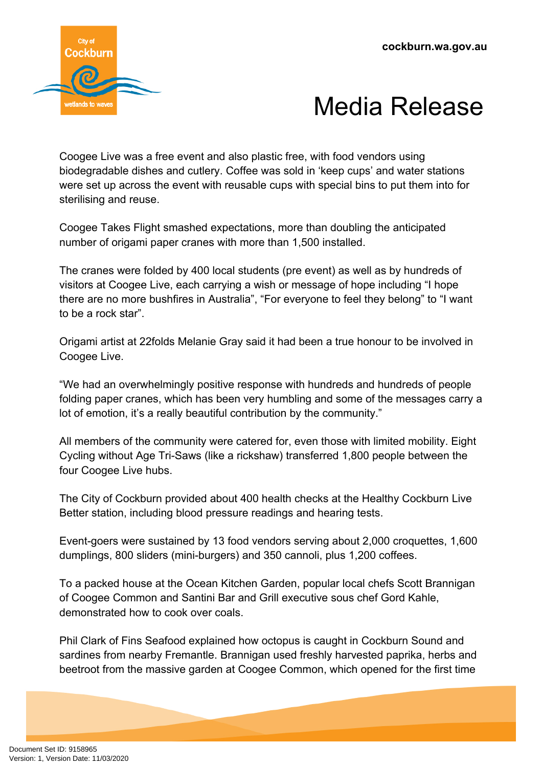



Coogee Live was a free event and also plastic free, with food vendors using biodegradable dishes and cutlery. Coffee was sold in 'keep cups' and water stations were set up across the event with reusable cups with special bins to put them into for sterilising and reuse.

Coogee Takes Flight smashed expectations, more than doubling the anticipated number of origami paper cranes with more than 1,500 installed.

The cranes were folded by 400 local students (pre event) as well as by hundreds of visitors at Coogee Live, each carrying a wish or message of hope including "I hope there are no more bushfires in Australia", "For everyone to feel they belong" to "I want to be a rock star".

Origami artist at 22folds Melanie Gray said it had been a true honour to be involved in Coogee Live.

"We had an overwhelmingly positive response with hundreds and hundreds of people folding paper cranes, which has been very humbling and some of the messages carry a lot of emotion, it's a really beautiful contribution by the community."

All members of the community were catered for, even those with limited mobility. Eight Cycling without Age Tri-Saws (like a rickshaw) transferred 1,800 people between the four Coogee Live hubs.

The City of Cockburn provided about 400 health checks at the Healthy Cockburn Live Better station, including blood pressure readings and hearing tests.

Event-goers were sustained by 13 food vendors serving about 2,000 croquettes, 1,600 dumplings, 800 sliders (mini-burgers) and 350 cannoli, plus 1,200 coffees.

To a packed house at the Ocean Kitchen Garden, popular local chefs Scott Brannigan of Coogee Common and Santini Bar and Grill executive sous chef Gord Kahle, demonstrated how to cook over coals.

Phil Clark of Fins Seafood explained how octopus is caught in Cockburn Sound and sardines from nearby Fremantle. Brannigan used freshly harvested paprika, herbs and beetroot from the massive garden at Coogee Common, which opened for the first time

Document Set ID: 9158965<br>Version: 1, Version Date: 11/03/2020